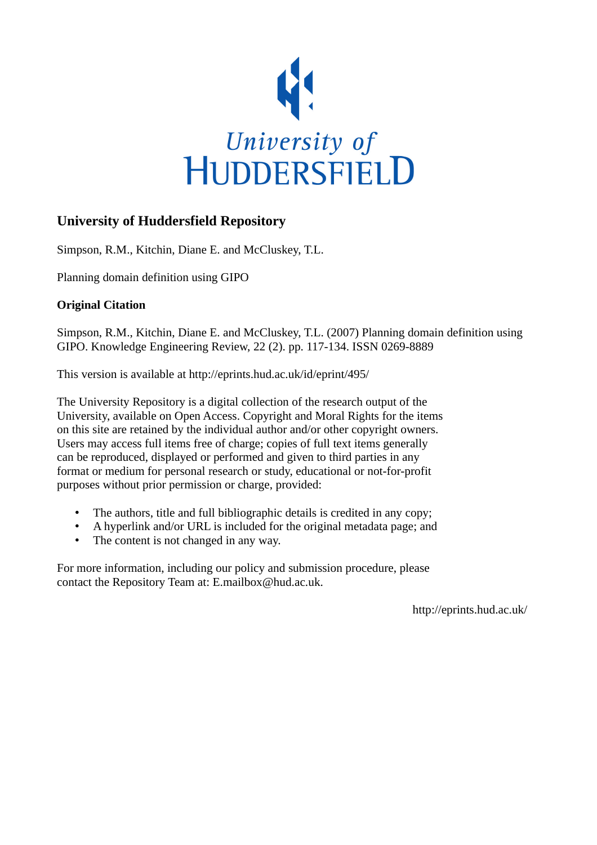

# **University of Huddersfield Repository**

Simpson, R.M., Kitchin, Diane E. and McCluskey, T.L.

Planning domain definition using GIPO

# **Original Citation**

Simpson, R.M., Kitchin, Diane E. and McCluskey, T.L. (2007) Planning domain definition using GIPO. Knowledge Engineering Review, 22 (2). pp. 117-134. ISSN 0269-8889

This version is available at http://eprints.hud.ac.uk/id/eprint/495/

The University Repository is a digital collection of the research output of the University, available on Open Access. Copyright and Moral Rights for the items on this site are retained by the individual author and/or other copyright owners. Users may access full items free of charge; copies of full text items generally can be reproduced, displayed or performed and given to third parties in any format or medium for personal research or study, educational or not-for-profit purposes without prior permission or charge, provided:

- The authors, title and full bibliographic details is credited in any copy;
- A hyperlink and/or URL is included for the original metadata page; and
- The content is not changed in any way.

For more information, including our policy and submission procedure, please contact the Repository Team at: E.mailbox@hud.ac.uk.

http://eprints.hud.ac.uk/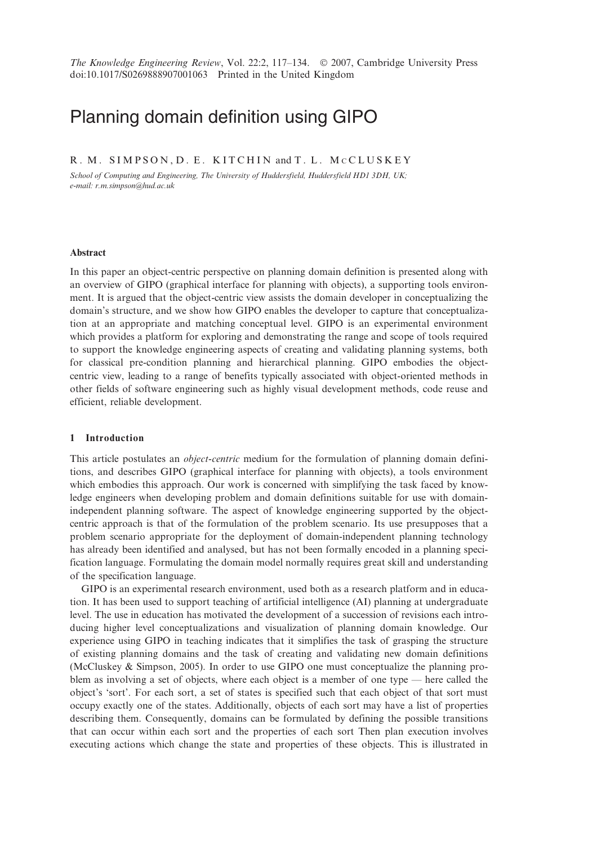# Planning domain definition using GIPO

# R. M. SIMPSON, D. E. KITCHIN and T. L. MCCLUSKEY

School of Computing and Engineering, The University of Huddersfield, Huddersfield HD1 3DH, UK; e-mail: r.m.simpson@hud.ac.uk

#### **Abstract**

In this paper an object-centric perspective on planning domain definition is presented along with an overview of GIPO (graphical interface for planning with objects), a supporting tools environment. It is argued that the object-centric view assists the domain developer in conceptualizing the domain's structure, and we show how GIPO enables the developer to capture that conceptualization at an appropriate and matching conceptual level. GIPO is an experimental environment which provides a platform for exploring and demonstrating the range and scope of tools required to support the knowledge engineering aspects of creating and validating planning systems, both for classical pre-condition planning and hierarchical planning. GIPO embodies the objectcentric view, leading to a range of benefits typically associated with object-oriented methods in other fields of software engineering such as highly visual development methods, code reuse and efficient, reliable development.

#### 1 Introduction

This article postulates an *object-centric* medium for the formulation of planning domain definitions, and describes GIPO (graphical interface for planning with objects), a tools environment which embodies this approach. Our work is concerned with simplifying the task faced by knowledge engineers when developing problem and domain definitions suitable for use with domainindependent planning software. The aspect of knowledge engineering supported by the objectcentric approach is that of the formulation of the problem scenario. Its use presupposes that a problem scenario appropriate for the deployment of domain-independent planning technology has already been identified and analysed, but has not been formally encoded in a planning specification language. Formulating the domain model normally requires great skill and understanding of the specification language.

GIPO is an experimental research environment, used both as a research platform and in education. It has been used to support teaching of artificial intelligence (AI) planning at undergraduate level. The use in education has motivated the development of a succession of revisions each introducing higher level conceptualizations and visualization of planning domain knowledge. Our experience using GIPO in teaching indicates that it simplifies the task of grasping the structure of existing planning domains and the task of creating and validating new domain definitions (McCluskey & Simpson, 2005). In order to use GIPO one must conceptualize the planning problem as involving a set of objects, where each object is a member of one type — here called the object's 'sort'. For each sort, a set of states is specified such that each object of that sort must occupy exactly one of the states. Additionally, objects of each sort may have a list of properties describing them. Consequently, domains can be formulated by defining the possible transitions that can occur within each sort and the properties of each sort Then plan execution involves executing actions which change the state and properties of these objects. This is illustrated in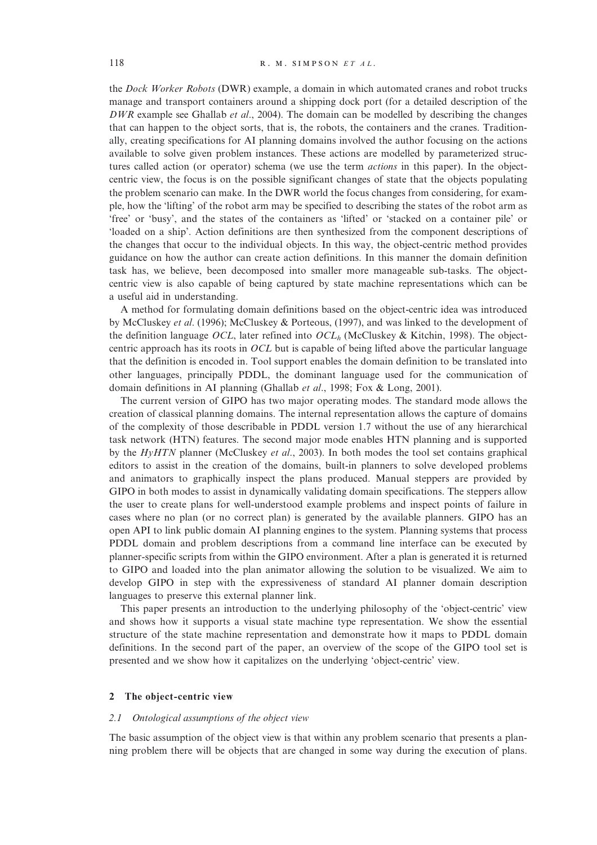the Dock Worker Robots (DWR) example, a domain in which automated cranes and robot trucks manage and transport containers around a shipping dock port (for a detailed description of the  $DWR$  example see Ghallab *et al.*, 2004). The domain can be modelled by describing the changes that can happen to the object sorts, that is, the robots, the containers and the cranes. Traditionally, creating specifications for AI planning domains involved the author focusing on the actions available to solve given problem instances. These actions are modelled by parameterized structures called action (or operator) schema (we use the term *actions* in this paper). In the objectcentric view, the focus is on the possible significant changes of state that the objects populating the problem scenario can make. In the DWR world the focus changes from considering, for example, how the 'lifting' of the robot arm may be specified to describing the states of the robot arm as 'free' or 'busy', and the states of the containers as 'lifted' or 'stacked on a container pile' or 'loaded on a ship'. Action definitions are then synthesized from the component descriptions of the changes that occur to the individual objects. In this way, the object-centric method provides guidance on how the author can create action definitions. In this manner the domain definition task has, we believe, been decomposed into smaller more manageable sub-tasks. The objectcentric view is also capable of being captured by state machine representations which can be a useful aid in understanding.

A method for formulating domain definitions based on the object-centric idea was introduced by McCluskey et al. (1996); McCluskey & Porteous, (1997), and was linked to the development of the definition language OCL, later refined into  $OCL<sub>h</sub>$  (McCluskey & Kitchin, 1998). The objectcentric approach has its roots in OCL but is capable of being lifted above the particular language that the definition is encoded in. Tool support enables the domain definition to be translated into other languages, principally PDDL, the dominant language used for the communication of domain definitions in AI planning (Ghallab et al., 1998; Fox & Long, 2001).

The current version of GIPO has two major operating modes. The standard mode allows the creation of classical planning domains. The internal representation allows the capture of domains of the complexity of those describable in PDDL version 1.7 without the use of any hierarchical task network (HTN) features. The second major mode enables HTN planning and is supported by the  $HyHTN$  planner (McCluskey *et al.*, 2003). In both modes the tool set contains graphical editors to assist in the creation of the domains, built-in planners to solve developed problems and animators to graphically inspect the plans produced. Manual steppers are provided by GIPO in both modes to assist in dynamically validating domain specifications. The steppers allow the user to create plans for well-understood example problems and inspect points of failure in cases where no plan (or no correct plan) is generated by the available planners. GIPO has an open API to link public domain AI planning engines to the system. Planning systems that process PDDL domain and problem descriptions from a command line interface can be executed by planner-specific scripts from within the GIPO environment. After a plan is generated it is returned to GIPO and loaded into the plan animator allowing the solution to be visualized. We aim to develop GIPO in step with the expressiveness of standard AI planner domain description languages to preserve this external planner link.

This paper presents an introduction to the underlying philosophy of the 'object-centric' view and shows how it supports a visual state machine type representation. We show the essential structure of the state machine representation and demonstrate how it maps to PDDL domain definitions. In the second part of the paper, an overview of the scope of the GIPO tool set is presented and we show how it capitalizes on the underlying 'object-centric' view.

## 2 The object-centric view

#### 2.1 Ontological assumptions of the object view

The basic assumption of the object view is that within any problem scenario that presents a planning problem there will be objects that are changed in some way during the execution of plans.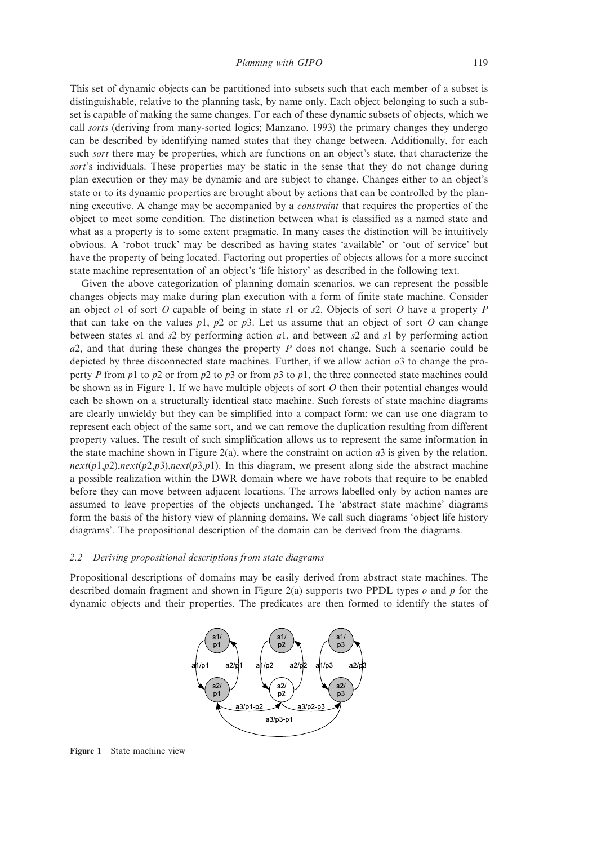This set of dynamic objects can be partitioned into subsets such that each member of a subset is distinguishable, relative to the planning task, by name only. Each object belonging to such a subset is capable of making the same changes. For each of these dynamic subsets of objects, which we call *sorts* (deriving from many-sorted logics; Manzano, 1993) the primary changes they undergo can be described by identifying named states that they change between. Additionally, for each such *sort* there may be properties, which are functions on an object's state, that characterize the sort's individuals. These properties may be static in the sense that they do not change during plan execution or they may be dynamic and are subject to change. Changes either to an object's state or to its dynamic properties are brought about by actions that can be controlled by the planning executive. A change may be accompanied by a constraint that requires the properties of the object to meet some condition. The distinction between what is classified as a named state and what as a property is to some extent pragmatic. In many cases the distinction will be intuitively obvious. A 'robot truck' may be described as having states 'available' or 'out of service' but have the property of being located. Factoring out properties of objects allows for a more succinct state machine representation of an object's 'life history' as described in the following text.

Given the above categorization of planning domain scenarios, we can represent the possible changes objects may make during plan execution with a form of finite state machine. Consider an object o1 of sort O capable of being in state s1 or s2. Objects of sort O have a property  $P$ that can take on the values  $p1$ ,  $p2$  or  $p3$ . Let us assume that an object of sort O can change between states s1 and s2 by performing action  $a1$ , and between s2 and s1 by performing action  $a2$ , and that during these changes the property P does not change. Such a scenario could be depicted by three disconnected state machines. Further, if we allow action  $a3$  to change the property P from p1 to p2 or from p2 to p3 or from p3 to p1, the three connected state machines could be shown as in Figure 1. If we have multiple objects of sort  $O$  then their potential changes would each be shown on a structurally identical state machine. Such forests of state machine diagrams are clearly unwieldy but they can be simplified into a compact form: we can use one diagram to represent each object of the same sort, and we can remove the duplication resulting from different property values. The result of such simplification allows us to represent the same information in the state machine shown in Figure 2(a), where the constraint on action  $a3$  is given by the relation,  $next(p1,p2), next(p2,p3), next(p3,p1)$ . In this diagram, we present along side the abstract machine a possible realization within the DWR domain where we have robots that require to be enabled before they can move between adjacent locations. The arrows labelled only by action names are assumed to leave properties of the objects unchanged. The 'abstract state machine' diagrams form the basis of the history view of planning domains. We call such diagrams 'object life history diagrams'. The propositional description of the domain can be derived from the diagrams.

# 2.2 Deriving propositional descriptions from state diagrams

Propositional descriptions of domains may be easily derived from abstract state machines. The described domain fragment and shown in Figure 2(a) supports two PPDL types  $\rho$  and  $p$  for the dynamic objects and their properties. The predicates are then formed to identify the states of



Figure 1 State machine view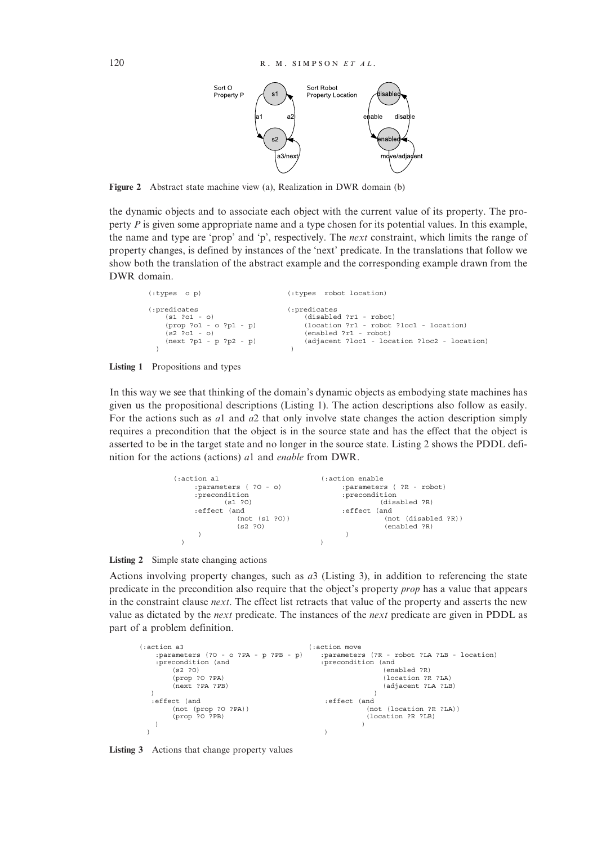

Figure 2 Abstract state machine view (a), Realization in DWR domain (b)

the dynamic objects and to associate each object with the current value of its property. The property P is given some appropriate name and a type chosen for its potential values. In this example, the name and type are 'prop' and 'p', respectively. The next constraint, which limits the range of property changes, is defined by instances of the 'next' predicate. In the translations that follow we show both the translation of the abstract example and the corresponding example drawn from the DWR domain.

```
(:types o p) (:types robot location)
(:predicates (:predicates
     (s1 ?o1 - o) (disabled ?r1 - robot)<br>(prop ?o1 - o ?p1 - p) (location ?r1 - robot)
                                           (disasted :ii 10200)<br>(location ?r1 - robot ?loc1 - location)
    (s2 \t ?o1 - o) (enabled ?r1 - robot)<br>(next ?p1 - p ?p2 - p) (adjacent ?loc1 - loc
                                       (adjacent ?loc1 - location ?loc2 - location)) and the contract of \overline{\phantom{a}}
```


In this way we see that thinking of the domain's dynamic objects as embodying state machines has given us the propositional descriptions (Listing 1). The action descriptions also follow as easily. For the actions such as al and  $a2$  that only involve state changes the action description simply requires a precondition that the object is in the source state and has the effect that the object is asserted to be in the target state and no longer in the source state. Listing 2 shows the PDDL definition for the actions (actions) a1 and enable from DWR.





Actions involving property changes, such as  $a3$  (Listing 3), in addition to referencing the state predicate in the precondition also require that the object's property prop has a value that appears in the constraint clause *next*. The effect list retracts that value of the property and asserts the new value as dictated by the next predicate. The instances of the next predicate are given in PDDL as part of a problem definition.

| (:action a3                                                | saction move:)                                                    |  |  |  |
|------------------------------------------------------------|-------------------------------------------------------------------|--|--|--|
| :parameters (?0 - o ?PA - p ?PB - p)<br>:precondition (and | :parameters (?R - robot ?LA ?LB - location)<br>:precondition (and |  |  |  |
| (s2 ?O)                                                    | (enabled ?R)                                                      |  |  |  |
| (prop ?O ?PA)                                              | (location ?R ?LA)                                                 |  |  |  |
| (next ?PA ?PB)                                             | (adjacent ?LA ?LB)                                                |  |  |  |
|                                                            |                                                                   |  |  |  |
| effect (and:                                               | effect (and:                                                      |  |  |  |
| (not (prop ?O ?PA))                                        | (not (location ?R ?LA))                                           |  |  |  |
| (prop ?O ?PB)                                              | (location ?R ?LB)                                                 |  |  |  |
|                                                            |                                                                   |  |  |  |
|                                                            |                                                                   |  |  |  |

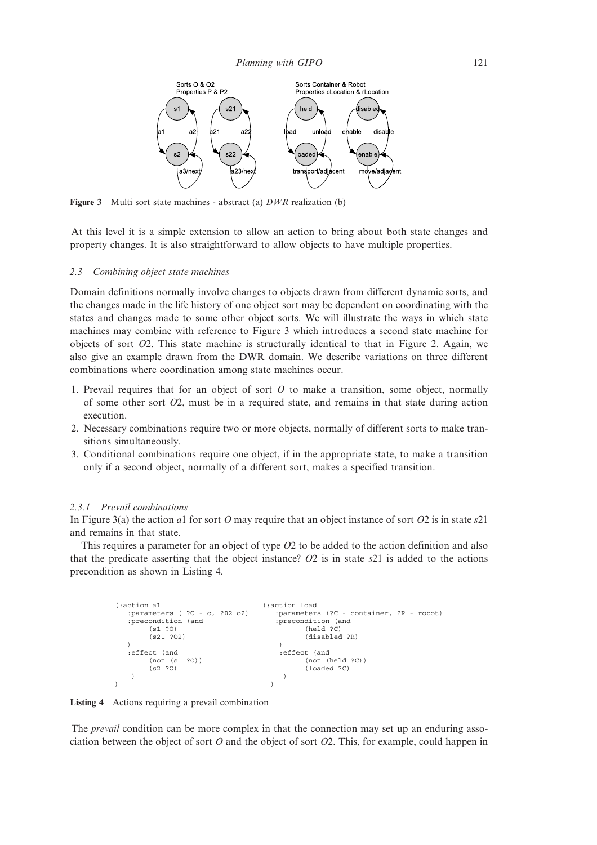

Figure 3 Multi sort state machines - abstract (a) DWR realization (b)

At this level it is a simple extension to allow an action to bring about both state changes and property changes. It is also straightforward to allow objects to have multiple properties.

#### 2.3 Combining object state machines

Domain definitions normally involve changes to objects drawn from different dynamic sorts, and the changes made in the life history of one object sort may be dependent on coordinating with the states and changes made to some other object sorts. We will illustrate the ways in which state machines may combine with reference to Figure 3 which introduces a second state machine for objects of sort O2. This state machine is structurally identical to that in Figure 2. Again, we also give an example drawn from the DWR domain. We describe variations on three different combinations where coordination among state machines occur.

- 1. Prevail requires that for an object of sort  $O$  to make a transition, some object, normally of some other sort O2, must be in a required state, and remains in that state during action execution.
- 2. Necessary combinations require two or more objects, normally of different sorts to make transitions simultaneously.
- 3. Conditional combinations require one object, if in the appropriate state, to make a transition only if a second object, normally of a different sort, makes a specified transition.

#### 2.3.1 Prevail combinations

In Figure 3(a) the action a1 for sort O may require that an object instance of sort O2 is in state s21 and remains in that state.

This requires a parameter for an object of type  $O2$  to be added to the action definition and also that the predicate asserting that the object instance?  $O2$  is in state s21 is added to the actions precondition as shown in Listing 4.

```
action al (:action load)<br>:parameters ( 20 - 0, 202 - 0) :parameter
                                   :parameters (?C - container, ?R - robot)
  :precondition (and : precondition (and
       (s1 ?O) (held ?C)
       (s21 ?O2) (disabled ?R)
  ) and the contract of \mathcal{O}(n):effect (and \qquad \qquad :effect (and
                                         (not (held ?C))<br>(loaded ?C)(not (s1 ?0))<br>(s2 ?0)) and the contract of \mathcal{O}(n)) and the contract of \mathcal{O}(n)
```


The *prevail* condition can be more complex in that the connection may set up an enduring association between the object of sort  $O$  and the object of sort  $O2$ . This, for example, could happen in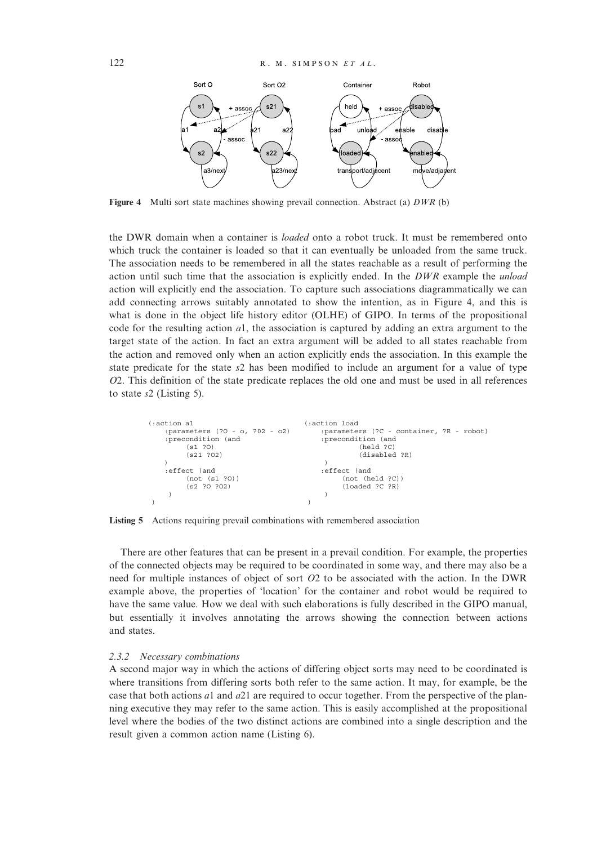

Figure 4 Multi sort state machines showing prevail connection. Abstract (a) DWR (b)

the DWR domain when a container is *loaded* onto a robot truck. It must be remembered onto which truck the container is loaded so that it can eventually be unloaded from the same truck. The association needs to be remembered in all the states reachable as a result of performing the action until such time that the association is explicitly ended. In the  $DWR$  example the *unload* action will explicitly end the association. To capture such associations diagrammatically we can add connecting arrows suitably annotated to show the intention, as in Figure 4, and this is what is done in the object life history editor (OLHE) of GIPO. In terms of the propositional code for the resulting action  $a_1$ , the association is captured by adding an extra argument to the target state of the action. In fact an extra argument will be added to all states reachable from the action and removed only when an action explicitly ends the association. In this example the state predicate for the state  $s2$  has been modified to include an argument for a value of type O2. This definition of the state predicate replaces the old one and must be used in all references to state s2 (Listing 5).

| (:action a1                                                     | (:action load                                                               |  |  |
|-----------------------------------------------------------------|-----------------------------------------------------------------------------|--|--|
| :parameters (?0 - o, ?02 - o2)<br>:precondition (and<br>(s1 ?O) | :parameters (?C - container, ?R - robot)<br>:precondition (and<br>(held ?C) |  |  |
| (s21 ?02)                                                       | (disabled ?R)                                                               |  |  |
|                                                                 |                                                                             |  |  |
| effect (and:                                                    | effect (and:                                                                |  |  |
| (not (s1 ?0))                                                   | (not (held ?C))                                                             |  |  |
| (s2 ?0 ?02)                                                     | (loaded ?C ?R)                                                              |  |  |
|                                                                 |                                                                             |  |  |
|                                                                 |                                                                             |  |  |

Listing 5 Actions requiring prevail combinations with remembered association

There are other features that can be present in a prevail condition. For example, the properties of the connected objects may be required to be coordinated in some way, and there may also be a need for multiple instances of object of sort O2 to be associated with the action. In the DWR example above, the properties of 'location' for the container and robot would be required to have the same value. How we deal with such elaborations is fully described in the GIPO manual, but essentially it involves annotating the arrows showing the connection between actions and states.

#### 2.3.2 Necessary combinations

A second major way in which the actions of differing object sorts may need to be coordinated is where transitions from differing sorts both refer to the same action. It may, for example, be the case that both actions  $a_1$  and  $a_2$ 1 are required to occur together. From the perspective of the planning executive they may refer to the same action. This is easily accomplished at the propositional level where the bodies of the two distinct actions are combined into a single description and the result given a common action name (Listing 6).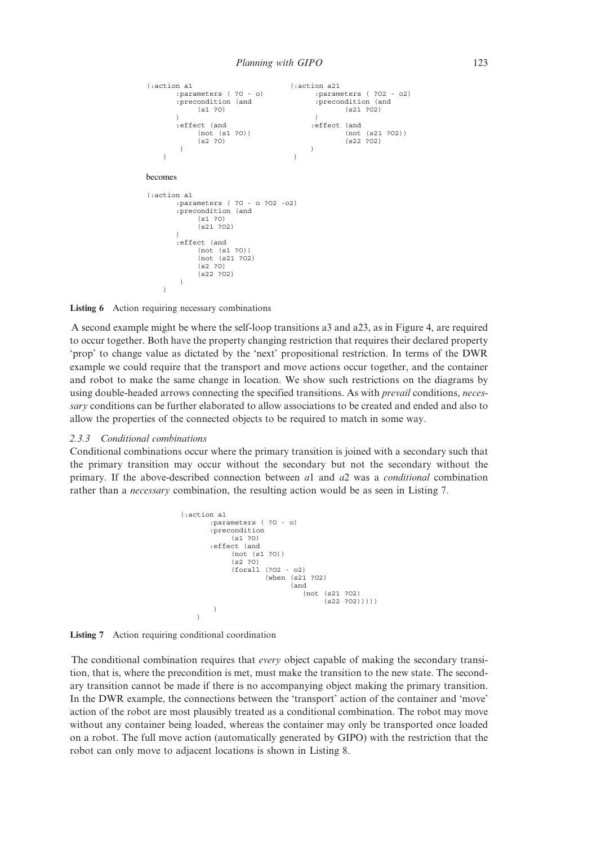```
(:action a1 (:action a21
       :parameters ( ?0 - o) :parameters ( ?02 - o2)<br>:precondition (and :precondition (and
                                          :precondition (and :precondition (and
            (s1 ?O) (s21 ?O2)
       ) and the contract of \overline{\phantom{a}}:effect (and :effect (and
             (not (s1 ?0)) (not (s21 ?O2))<br>(s2 ?0) (s22 ?O2)
                                         (s22 ?02)) and the contract of \overline{\phantom{a}}) and the contract of \overline{\phantom{a}}becomes
(:action a1
       :parameters ( ?O - o ?O2 -o2)
       :precondition (and
             (s1 ?O)
             (521, 202))
       :effect (and
             (not (s1 ?O))
             (not (s21 ?O2)
             (s2 ?O)
             (s22 ?O2)
        )
    \overline{)}
```
Listing 6 Action requiring necessary combinations

A second example might be where the self-loop transitions a3 and a23, as in Figure 4, are required to occur together. Both have the property changing restriction that requires their declared property 'prop' to change value as dictated by the 'next' propositional restriction. In terms of the DWR example we could require that the transport and move actions occur together, and the container and robot to make the same change in location. We show such restrictions on the diagrams by using double-headed arrows connecting the specified transitions. As with *prevail* conditions, *neces*sary conditions can be further elaborated to allow associations to be created and ended and also to allow the properties of the connected objects to be required to match in some way.

#### 2.3.3 Conditional combinations

Conditional combinations occur where the primary transition is joined with a secondary such that the primary transition may occur without the secondary but not the secondary without the primary. If the above-described connection between  $a_1$  and  $a_2$  was a *conditional* combination rather than a necessary combination, the resulting action would be as seen in Listing 7.

```
(:action a1
       :parameters ( ?O - o)
       :precondition
             (s1 ?O)
       :effect (and
             (not (s1 ?O))
             (52, 20)(forall (?O2 - o2)
                      (when (s21 ?O2)
                             (and
                                (not (s21 ?O2)
                                      (s22 202))))
        )
    \overline{)}
```
Listing 7 Action requiring conditional coordination

The conditional combination requires that *every* object capable of making the secondary transition, that is, where the precondition is met, must make the transition to the new state. The secondary transition cannot be made if there is no accompanying object making the primary transition. In the DWR example, the connections between the 'transport' action of the container and 'move' action of the robot are most plausibly treated as a conditional combination. The robot may move without any container being loaded, whereas the container may only be transported once loaded on a robot. The full move action (automatically generated by GIPO) with the restriction that the robot can only move to adjacent locations is shown in Listing 8.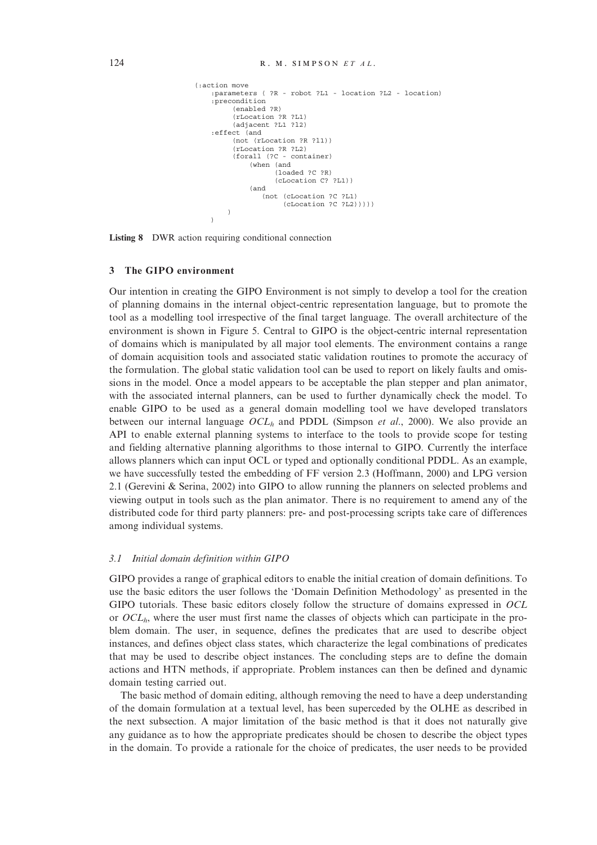```
(:action move
   :parameters ( ?R - robot ?L1 - location ?L2 - location)
   :precondition
         (enabled ?R)
         (rLocation ?R ?L1)
         (adjacent ?L1 ?l2)
   :effect (and
         (not (rLocation ?R ?l1))
         (rLocation ?R ?L2)
         (forall (?C - container)
             (when (and
                    (loaded ?C ?R)
                    (cLocation C? ?L1))
             (and
                (not (cLocation ?C ?L1)
                      (cLocation ?C ?L2)))))
        )
   )
```
Listing 8 DWR action requiring conditional connection

### 3 The GIPO environment

Our intention in creating the GIPO Environment is not simply to develop a tool for the creation of planning domains in the internal object-centric representation language, but to promote the tool as a modelling tool irrespective of the final target language. The overall architecture of the environment is shown in Figure 5. Central to GIPO is the object-centric internal representation of domains which is manipulated by all major tool elements. The environment contains a range of domain acquisition tools and associated static validation routines to promote the accuracy of the formulation. The global static validation tool can be used to report on likely faults and omissions in the model. Once a model appears to be acceptable the plan stepper and plan animator, with the associated internal planners, can be used to further dynamically check the model. To enable GIPO to be used as a general domain modelling tool we have developed translators between our internal language  $OCL<sub>h</sub>$  and PDDL (Simpson *et al.*, 2000). We also provide an API to enable external planning systems to interface to the tools to provide scope for testing and fielding alternative planning algorithms to those internal to GIPO. Currently the interface allows planners which can input OCL or typed and optionally conditional PDDL. As an example, we have successfully tested the embedding of FF version 2.3 (Hoffmann, 2000) and LPG version 2.1 (Gerevini & Serina, 2002) into GIPO to allow running the planners on selected problems and viewing output in tools such as the plan animator. There is no requirement to amend any of the distributed code for third party planners: pre- and post-processing scripts take care of differences among individual systems.

#### 3.1 Initial domain definition within GIPO

GIPO provides a range of graphical editors to enable the initial creation of domain definitions. To use the basic editors the user follows the 'Domain Definition Methodology' as presented in the GIPO tutorials. These basic editors closely follow the structure of domains expressed in OCL or  $OCL<sub>h</sub>$ , where the user must first name the classes of objects which can participate in the problem domain. The user, in sequence, defines the predicates that are used to describe object instances, and defines object class states, which characterize the legal combinations of predicates that may be used to describe object instances. The concluding steps are to define the domain actions and HTN methods, if appropriate. Problem instances can then be defined and dynamic domain testing carried out.

The basic method of domain editing, although removing the need to have a deep understanding of the domain formulation at a textual level, has been superceded by the OLHE as described in the next subsection. A major limitation of the basic method is that it does not naturally give any guidance as to how the appropriate predicates should be chosen to describe the object types in the domain. To provide a rationale for the choice of predicates, the user needs to be provided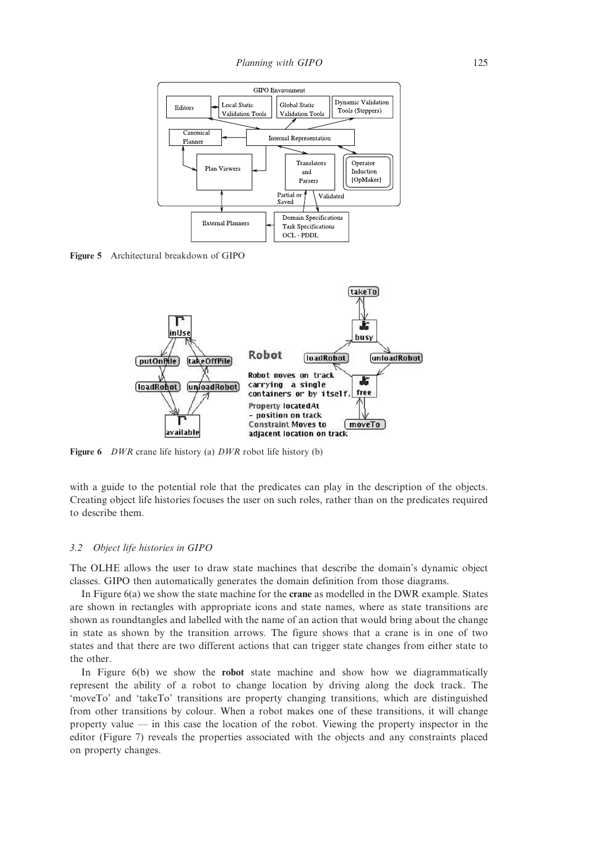

Figure 5 Architectural breakdown of GIPO



Figure 6 *DWR* crane life history (a) *DWR* robot life history (b)

with a guide to the potential role that the predicates can play in the description of the objects. Creating object life histories focuses the user on such roles, rather than on the predicates required to describe them.

#### 3.2 Object life histories in GIPO

The OLHE allows the user to draw state machines that describe the domain's dynamic object classes. GIPO then automatically generates the domain definition from those diagrams.

In Figure 6(a) we show the state machine for the crane as modelled in the DWR example. States are shown in rectangles with appropriate icons and state names, where as state transitions are shown as roundtangles and labelled with the name of an action that would bring about the change in state as shown by the transition arrows. The figure shows that a crane is in one of two states and that there are two different actions that can trigger state changes from either state to the other.

In Figure 6(b) we show the **robot** state machine and show how we diagrammatically represent the ability of a robot to change location by driving along the dock track. The 'moveTo' and 'takeTo' transitions are property changing transitions, which are distinguished from other transitions by colour. When a robot makes one of these transitions, it will change property value — in this case the location of the robot. Viewing the property inspector in the editor (Figure 7) reveals the properties associated with the objects and any constraints placed on property changes.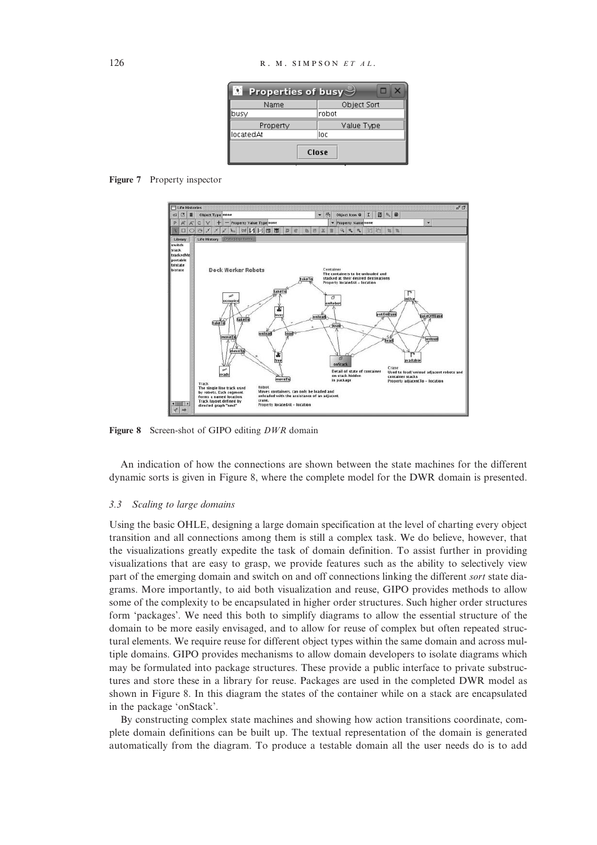| $\blacksquare$ Properties of busy $\mathcal{\rhd}$ |             |  |  |  |
|----------------------------------------------------|-------------|--|--|--|
| Name                                               | Object Sort |  |  |  |
| busy                                               | Irobot      |  |  |  |
| Property                                           | Value Type  |  |  |  |
| locatedAt                                          | loc         |  |  |  |
| Close                                              |             |  |  |  |

Figure 7 Property inspector



Figure 8 Screen-shot of GIPO editing DWR domain

An indication of how the connections are shown between the state machines for the different dynamic sorts is given in Figure 8, where the complete model for the DWR domain is presented.

#### 3.3 Scaling to large domains

Using the basic OHLE, designing a large domain specification at the level of charting every object transition and all connections among them is still a complex task. We do believe, however, that the visualizations greatly expedite the task of domain definition. To assist further in providing visualizations that are easy to grasp, we provide features such as the ability to selectively view part of the emerging domain and switch on and off connections linking the different sort state diagrams. More importantly, to aid both visualization and reuse, GIPO provides methods to allow some of the complexity to be encapsulated in higher order structures. Such higher order structures form 'packages'. We need this both to simplify diagrams to allow the essential structure of the domain to be more easily envisaged, and to allow for reuse of complex but often repeated structural elements. We require reuse for different object types within the same domain and across multiple domains. GIPO provides mechanisms to allow domain developers to isolate diagrams which may be formulated into package structures. These provide a public interface to private substructures and store these in a library for reuse. Packages are used in the completed DWR model as shown in Figure 8. In this diagram the states of the container while on a stack are encapsulated in the package 'onStack'.

By constructing complex state machines and showing how action transitions coordinate, complete domain definitions can be built up. The textual representation of the domain is generated automatically from the diagram. To produce a testable domain all the user needs do is to add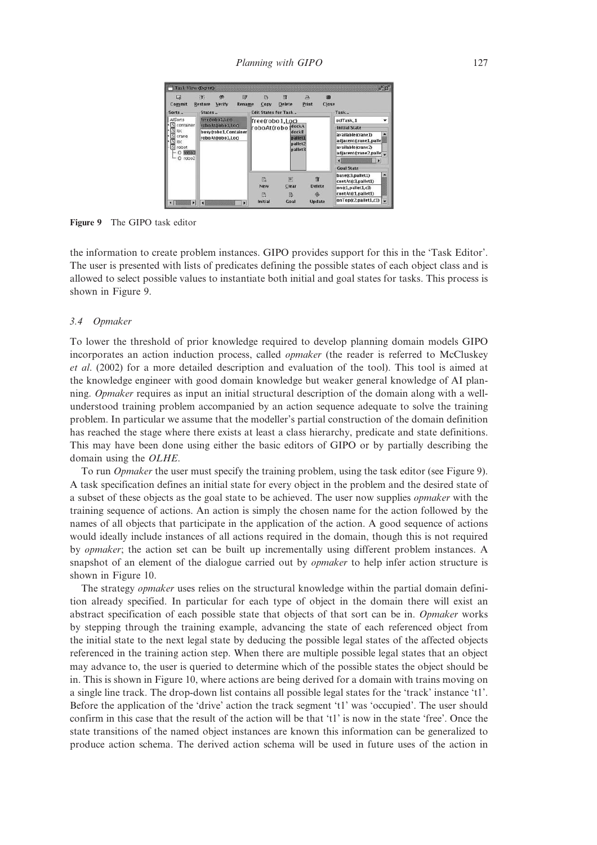| C3<br>Commit<br>$Sorts -$                                                                                                                                               | (分)<br>微<br>do<br><b>Restore</b><br>Verify<br><b>Rename</b><br>States.         | 壇<br>吓<br>д<br>Print<br>Close<br><b>Delete</b><br>Copy<br><b>Edit States for Task</b>                                                                                           | Task <sub>w</sub>                                                                                                  |
|-------------------------------------------------------------------------------------------------------------------------------------------------------------------------|--------------------------------------------------------------------------------|---------------------------------------------------------------------------------------------------------------------------------------------------------------------------------|--------------------------------------------------------------------------------------------------------------------|
| <b>AllSorts</b><br>free@obo1.Loo<br>S container<br>roboAtcobol.Loo<br>SI Ioc<br>busy@obo1.Container<br>crane<br>roboAtá obo1.Loo<br>loc<br>robot<br>robo1<br>robo2<br>о | free(robo1,Loc)<br>roboAt(robo dockA<br>dockB<br>pallet1<br>pallet2<br>pallet3 | odTask_1<br><b>Initial State</b><br>available(crane1)<br>adjacent(crane1.palle<br>available(crane2)<br>adjacent(crane2.palle<br>$\blacktriangleright$<br>п<br><b>Goal State</b> |                                                                                                                    |
| ٠                                                                                                                                                                       | ×                                                                              | 回<br>情<br>ß.<br><b>New</b><br>Clear<br><b>Delete</b><br>m<br>臥<br>Initial<br><b>Update</b><br>Goal                                                                              | ۰<br>base(c3,pallet1)<br>contAt(c3,pallet1)<br>on(c1, pallet1, c3)<br>contAt(c1,pallet1)<br>onTop(C2, pallet1, c1) |

Figure 9 The GIPO task editor

the information to create problem instances. GIPO provides support for this in the 'Task Editor'. The user is presented with lists of predicates defining the possible states of each object class and is allowed to select possible values to instantiate both initial and goal states for tasks. This process is shown in Figure 9.

#### 3.4 Opmaker

To lower the threshold of prior knowledge required to develop planning domain models GIPO incorporates an action induction process, called *opmaker* (the reader is referred to McCluskey et al. (2002) for a more detailed description and evaluation of the tool). This tool is aimed at the knowledge engineer with good domain knowledge but weaker general knowledge of AI planning. Opmaker requires as input an initial structural description of the domain along with a wellunderstood training problem accompanied by an action sequence adequate to solve the training problem. In particular we assume that the modeller's partial construction of the domain definition has reached the stage where there exists at least a class hierarchy, predicate and state definitions. This may have been done using either the basic editors of GIPO or by partially describing the domain using the OLHE.

To run *Opmaker* the user must specify the training problem, using the task editor (see Figure 9). A task specification defines an initial state for every object in the problem and the desired state of a subset of these objects as the goal state to be achieved. The user now supplies opmaker with the training sequence of actions. An action is simply the chosen name for the action followed by the names of all objects that participate in the application of the action. A good sequence of actions would ideally include instances of all actions required in the domain, though this is not required by opmaker; the action set can be built up incrementally using different problem instances. A snapshot of an element of the dialogue carried out by *opmaker* to help infer action structure is shown in Figure 10.

The strategy *opmaker* uses relies on the structural knowledge within the partial domain definition already specified. In particular for each type of object in the domain there will exist an abstract specification of each possible state that objects of that sort can be in. Opmaker works by stepping through the training example, advancing the state of each referenced object from the initial state to the next legal state by deducing the possible legal states of the affected objects referenced in the training action step. When there are multiple possible legal states that an object may advance to, the user is queried to determine which of the possible states the object should be in. This is shown in Figure 10, where actions are being derived for a domain with trains moving on a single line track. The drop-down list contains all possible legal states for the 'track' instance 't1'. Before the application of the 'drive' action the track segment 't1' was 'occupied'. The user should confirm in this case that the result of the action will be that 't1' is now in the state 'free'. Once the state transitions of the named object instances are known this information can be generalized to produce action schema. The derived action schema will be used in future uses of the action in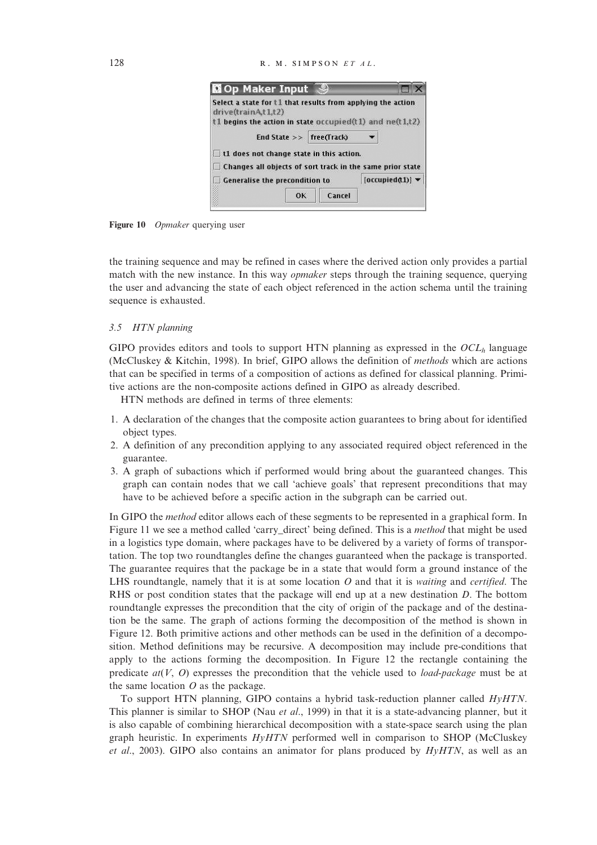| <b>NOp Maker Input</b>                                                            |        |               |
|-----------------------------------------------------------------------------------|--------|---------------|
| Select a state for t1 that results from applying the action<br>drive(trainAt1.t2) |        |               |
| $t1$ begins the action in state occupied( $t1$ ) and ne( $t1,t2$ )                |        |               |
| End State $\gg$ free(Track)                                                       |        |               |
| t1 does not change state in this action.                                          |        |               |
| Changes all objects of sort track in the same prior state                         |        |               |
| <b>Generalise the precondition to</b>                                             |        | [occupied(1)] |
|                                                                                   | Cancel |               |

Figure 10 *Opmaker* querying user

the training sequence and may be refined in cases where the derived action only provides a partial match with the new instance. In this way *opmaker* steps through the training sequence, querying the user and advancing the state of each object referenced in the action schema until the training sequence is exhausted.

#### 3.5 HTN planning

GIPO provides editors and tools to support HTN planning as expressed in the  $OCL<sub>h</sub>$  language (McCluskey & Kitchin, 1998). In brief, GIPO allows the definition of methods which are actions that can be specified in terms of a composition of actions as defined for classical planning. Primitive actions are the non-composite actions defined in GIPO as already described.

HTN methods are defined in terms of three elements:

- 1. A declaration of the changes that the composite action guarantees to bring about for identified object types.
- 2. A definition of any precondition applying to any associated required object referenced in the guarantee.
- 3. A graph of subactions which if performed would bring about the guaranteed changes. This graph can contain nodes that we call 'achieve goals' that represent preconditions that may have to be achieved before a specific action in the subgraph can be carried out.

In GIPO the *method* editor allows each of these segments to be represented in a graphical form. In Figure 11 we see a method called 'carry direct' being defined. This is a method that might be used in a logistics type domain, where packages have to be delivered by a variety of forms of transportation. The top two roundtangles define the changes guaranteed when the package is transported. The guarantee requires that the package be in a state that would form a ground instance of the LHS roundtangle, namely that it is at some location  $O$  and that it is *waiting* and *certified*. The RHS or post condition states that the package will end up at a new destination D. The bottom roundtangle expresses the precondition that the city of origin of the package and of the destination be the same. The graph of actions forming the decomposition of the method is shown in Figure 12. Both primitive actions and other methods can be used in the definition of a decomposition. Method definitions may be recursive. A decomposition may include pre-conditions that apply to the actions forming the decomposition. In Figure 12 the rectangle containing the predicate  $at(V, O)$  expresses the precondition that the vehicle used to *load-package* must be at the same location  $O$  as the package.

To support HTN planning, GIPO contains a hybrid task-reduction planner called HyHTN. This planner is similar to SHOP (Nau *et al.*, 1999) in that it is a state-advancing planner, but it is also capable of combining hierarchical decomposition with a state-space search using the plan graph heuristic. In experiments  $HyHTN$  performed well in comparison to SHOP (McCluskey et al., 2003). GIPO also contains an animator for plans produced by  $HyHTN$ , as well as an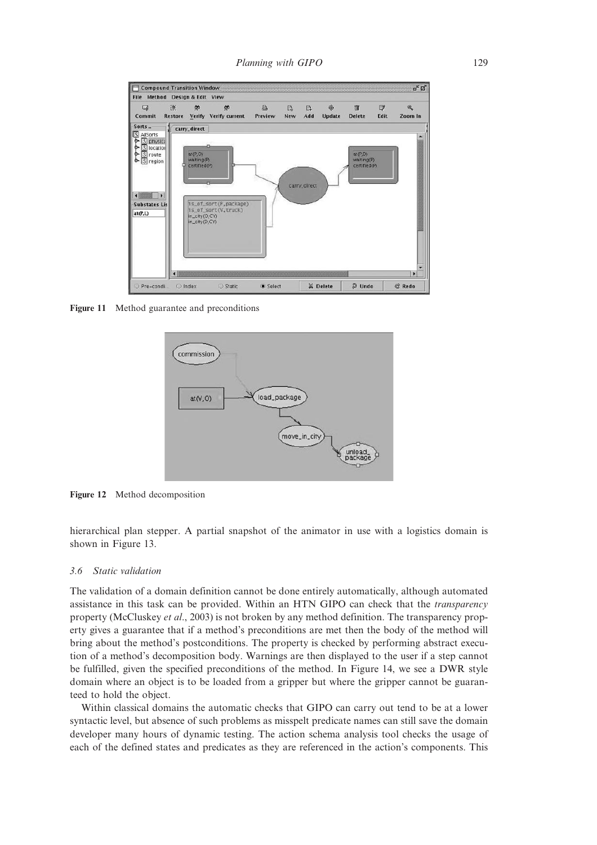

Figure 11 Method guarantee and preconditions



Figure 12 Method decomposition

hierarchical plan stepper. A partial snapshot of the animator in use with a logistics domain is shown in Figure 13.

#### 3.6 Static validation

The validation of a domain definition cannot be done entirely automatically, although automated assistance in this task can be provided. Within an HTN GIPO can check that the transparency property (McCluskey et al., 2003) is not broken by any method definition. The transparency property gives a guarantee that if a method's preconditions are met then the body of the method will bring about the method's postconditions. The property is checked by performing abstract execution of a method's decomposition body. Warnings are then displayed to the user if a step cannot be fulfilled, given the specified preconditions of the method. In Figure 14, we see a DWR style domain where an object is to be loaded from a gripper but where the gripper cannot be guaranteed to hold the object.

Within classical domains the automatic checks that GIPO can carry out tend to be at a lower syntactic level, but absence of such problems as misspelt predicate names can still save the domain developer many hours of dynamic testing. The action schema analysis tool checks the usage of each of the defined states and predicates as they are referenced in the action's components. This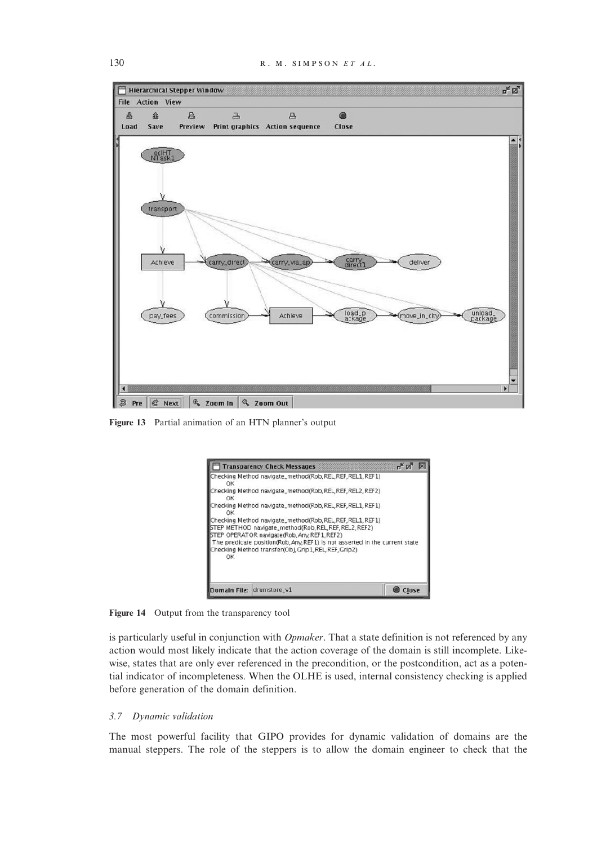

Figure 13 Partial animation of an HTN planner's output



Figure 14 Output from the transparency tool

is particularly useful in conjunction with *Opmaker*. That a state definition is not referenced by any action would most likely indicate that the action coverage of the domain is still incomplete. Likewise, states that are only ever referenced in the precondition, or the postcondition, act as a potential indicator of incompleteness. When the OLHE is used, internal consistency checking is applied before generation of the domain definition.

#### 3.7 Dynamic validation

The most powerful facility that GIPO provides for dynamic validation of domains are the manual steppers. The role of the steppers is to allow the domain engineer to check that the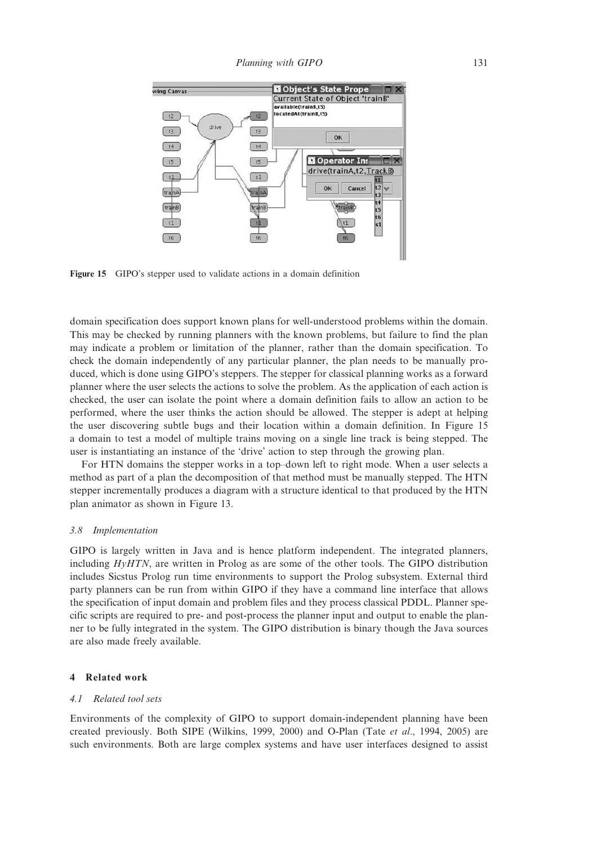

Figure 15 GIPO's stepper used to validate actions in a domain definition

domain specification does support known plans for well-understood problems within the domain. This may be checked by running planners with the known problems, but failure to find the plan may indicate a problem or limitation of the planner, rather than the domain specification. To check the domain independently of any particular planner, the plan needs to be manually produced, which is done using GIPO's steppers. The stepper for classical planning works as a forward planner where the user selects the actions to solve the problem. As the application of each action is checked, the user can isolate the point where a domain definition fails to allow an action to be performed, where the user thinks the action should be allowed. The stepper is adept at helping the user discovering subtle bugs and their location within a domain definition. In Figure 15 a domain to test a model of multiple trains moving on a single line track is being stepped. The user is instantiating an instance of the 'drive' action to step through the growing plan.

For HTN domains the stepper works in a top–down left to right mode. When a user selects a method as part of a plan the decomposition of that method must be manually stepped. The HTN stepper incrementally produces a diagram with a structure identical to that produced by the HTN plan animator as shown in Figure 13.

#### 3.8 Implementation

GIPO is largely written in Java and is hence platform independent. The integrated planners, including  $HyHTN$ , are written in Prolog as are some of the other tools. The GIPO distribution includes Sicstus Prolog run time environments to support the Prolog subsystem. External third party planners can be run from within GIPO if they have a command line interface that allows the specification of input domain and problem files and they process classical PDDL. Planner specific scripts are required to pre- and post-process the planner input and output to enable the planner to be fully integrated in the system. The GIPO distribution is binary though the Java sources are also made freely available.

#### 4 Related work

## 4.1 Related tool sets

Environments of the complexity of GIPO to support domain-independent planning have been created previously. Both SIPE (Wilkins, 1999, 2000) and O-Plan (Tate et al., 1994, 2005) are such environments. Both are large complex systems and have user interfaces designed to assist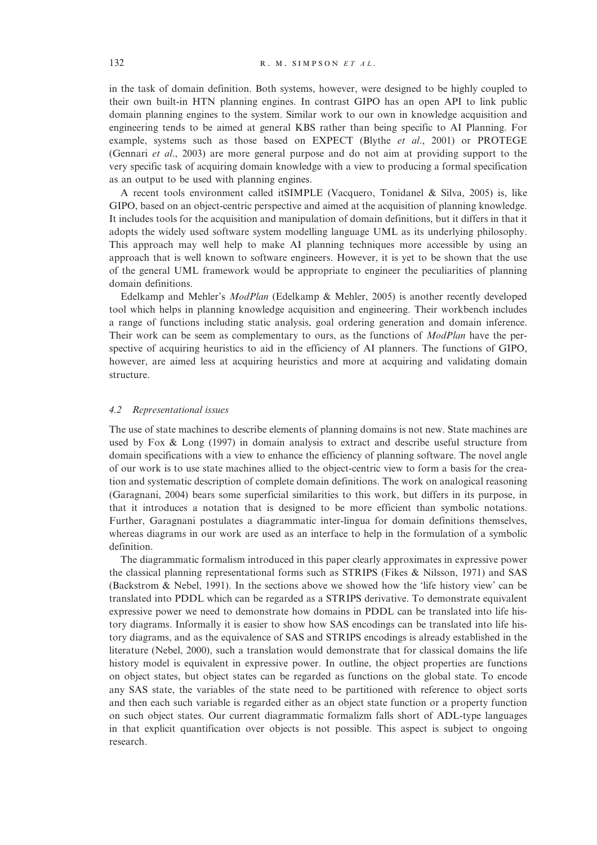in the task of domain definition. Both systems, however, were designed to be highly coupled to their own built-in HTN planning engines. In contrast GIPO has an open API to link public domain planning engines to the system. Similar work to our own in knowledge acquisition and engineering tends to be aimed at general KBS rather than being specific to AI Planning. For example, systems such as those based on EXPECT (Blythe et al., 2001) or PROTEGE (Gennari et al., 2003) are more general purpose and do not aim at providing support to the very specific task of acquiring domain knowledge with a view to producing a formal specification as an output to be used with planning engines.

A recent tools environment called itSIMPLE (Vacquero, Tonidanel & Silva, 2005) is, like GIPO, based on an object-centric perspective and aimed at the acquisition of planning knowledge. It includes tools for the acquisition and manipulation of domain definitions, but it differs in that it adopts the widely used software system modelling language UML as its underlying philosophy. This approach may well help to make AI planning techniques more accessible by using an approach that is well known to software engineers. However, it is yet to be shown that the use of the general UML framework would be appropriate to engineer the peculiarities of planning domain definitions.

Edelkamp and Mehler's ModPlan (Edelkamp & Mehler, 2005) is another recently developed tool which helps in planning knowledge acquisition and engineering. Their workbench includes a range of functions including static analysis, goal ordering generation and domain inference. Their work can be seem as complementary to ours, as the functions of *ModPlan* have the perspective of acquiring heuristics to aid in the efficiency of AI planners. The functions of GIPO, however, are aimed less at acquiring heuristics and more at acquiring and validating domain structure.

#### 4.2 Representational issues

The use of state machines to describe elements of planning domains is not new. State machines are used by Fox & Long (1997) in domain analysis to extract and describe useful structure from domain specifications with a view to enhance the efficiency of planning software. The novel angle of our work is to use state machines allied to the object-centric view to form a basis for the creation and systematic description of complete domain definitions. The work on analogical reasoning (Garagnani, 2004) bears some superficial similarities to this work, but differs in its purpose, in that it introduces a notation that is designed to be more efficient than symbolic notations. Further, Garagnani postulates a diagrammatic inter-lingua for domain definitions themselves, whereas diagrams in our work are used as an interface to help in the formulation of a symbolic definition.

The diagrammatic formalism introduced in this paper clearly approximates in expressive power the classical planning representational forms such as STRIPS (Fikes & Nilsson, 1971) and SAS (Backstrom & Nebel, 1991). In the sections above we showed how the 'life history view' can be translated into PDDL which can be regarded as a STRIPS derivative. To demonstrate equivalent expressive power we need to demonstrate how domains in PDDL can be translated into life history diagrams. Informally it is easier to show how SAS encodings can be translated into life history diagrams, and as the equivalence of SAS and STRIPS encodings is already established in the literature (Nebel, 2000), such a translation would demonstrate that for classical domains the life history model is equivalent in expressive power. In outline, the object properties are functions on object states, but object states can be regarded as functions on the global state. To encode any SAS state, the variables of the state need to be partitioned with reference to object sorts and then each such variable is regarded either as an object state function or a property function on such object states. Our current diagrammatic formalizm falls short of ADL-type languages in that explicit quantification over objects is not possible. This aspect is subject to ongoing research.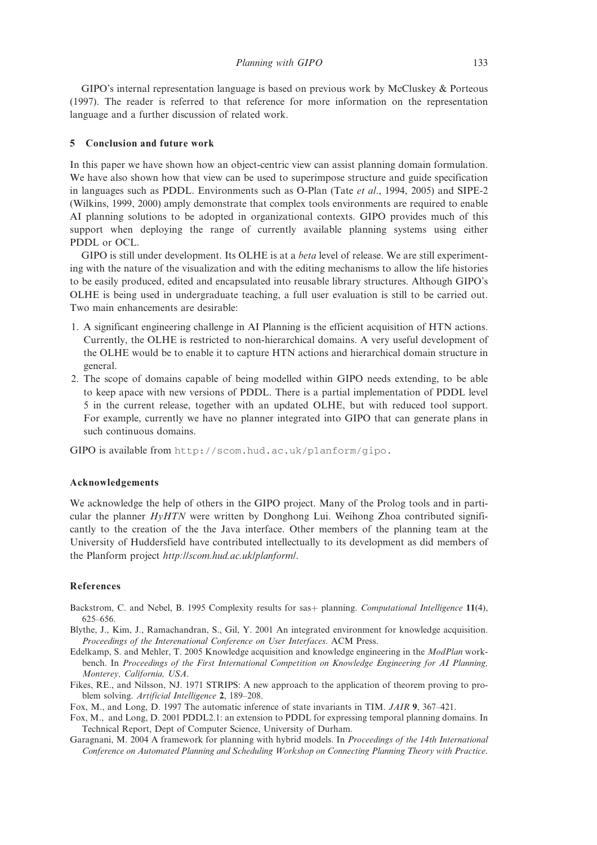GIPO's internal representation language is based on previous work by McCluskey & Porteous (1997). The reader is referred to that reference for more information on the representation language and a further discussion of related work.

#### 5 Conclusion and future work

In this paper we have shown how an object-centric view can assist planning domain formulation. We have also shown how that view can be used to superimpose structure and guide specification in languages such as PDDL. Environments such as O-Plan (Tate et al., 1994, 2005) and SIPE-2 (Wilkins, 1999, 2000) amply demonstrate that complex tools environments are required to enable AI planning solutions to be adopted in organizational contexts. GIPO provides much of this support when deploying the range of currently available planning systems using either PDDL or OCL.

GIPO is still under development. Its OLHE is at a *beta* level of release. We are still experimenting with the nature of the visualization and with the editing mechanisms to allow the life histories to be easily produced, edited and encapsulated into reusable library structures. Although GIPO's OLHE is being used in undergraduate teaching, a full user evaluation is still to be carried out. Two main enhancements are desirable:

- 1. A significant engineering challenge in AI Planning is the efficient acquisition of HTN actions. Currently, the OLHE is restricted to non-hierarchical domains. A very useful development of the OLHE would be to enable it to capture HTN actions and hierarchical domain structure in general.
- 2. The scope of domains capable of being modelled within GIPO needs extending, to be able to keep apace with new versions of PDDL. There is a partial implementation of PDDL level 5 in the current release, together with an updated OLHE, but with reduced tool support. For example, currently we have no planner integrated into GIPO that can generate plans in such continuous domains.

GIPO is available from [http://scom.hud.ac.uk/planform/gipo.](http://scom.hud.ac.uk/planform/gipo)

#### Acknowledgements

We acknowledge the help of others in the GIPO project. Many of the Prolog tools and in particular the planner  $HyHTN$  were written by Donghong Lui. Weihong Zhoa contributed significantly to the creation of the the Java interface. Other members of the planning team at the University of Huddersfield have contributed intellectually to its development as did members of the Planform project <http://scom.hud.ac.uk/planform/>.

# References

- Backstrom, C. and Nebel, B. 1995 Complexity results for sas<sup>+</sup> planning. Computational Intelligence 11(4), 625–656.
- Blythe, J., Kim, J., Ramachandran, S., Gil, Y. 2001 An integrated environment for knowledge acquisition. Proceedings of the Interenational Conference on User Interfaces. ACM Press.
- Edelkamp, S. and Mehler, T. 2005 Knowledge acquisition and knowledge engineering in the ModPlan workbench. In Proceedings of the First International Competition on Knowledge Engineering for AI Planning, Monterey, California, USA.
- Fikes, RE., and Nilsson, NJ. 1971 STRIPS: A new approach to the application of theorem proving to problem solving. Artificial Intelligence 2, 189–208.
- Fox, M., and Long, D. 1997 The automatic inference of state invariants in TIM. JAIR 9, 367–421.
- Fox, M., and Long, D. 2001 PDDL2.1: an extension to PDDL for expressing temporal planning domains. In Technical Report, Dept of Computer Science, University of Durham.
- Garagnani, M. 2004 A framework for planning with hybrid models. In Proceedings of the 14th International Conference on Automated Planning and Scheduling Workshop on Connecting Planning Theory with Practice.